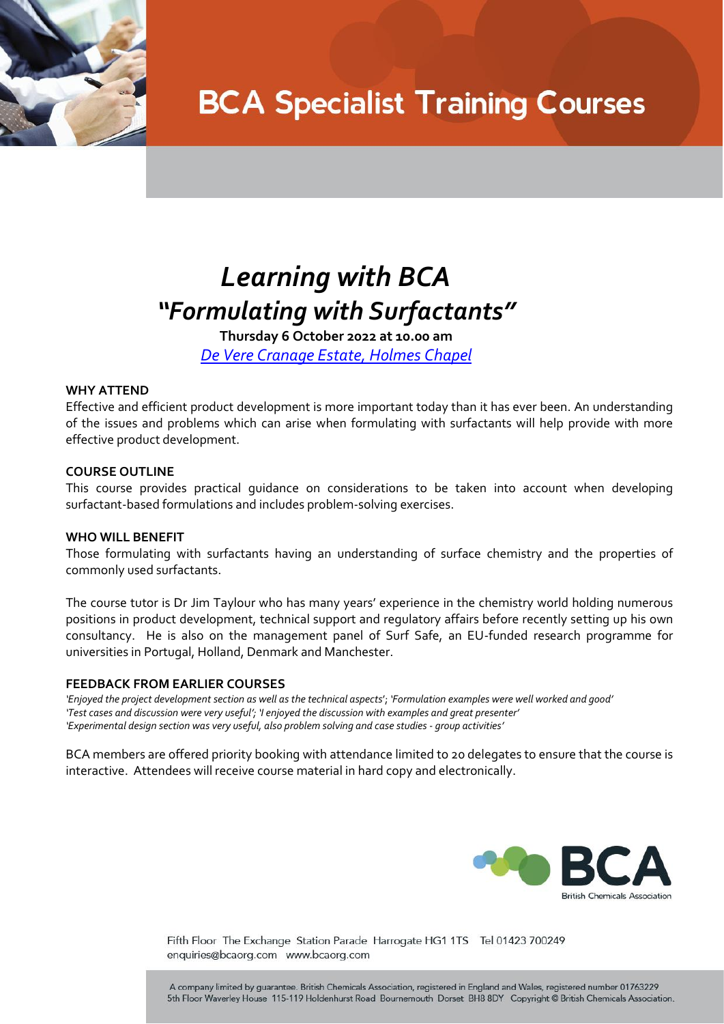

## **BCA Specialist Training Courses**

### *Learning with BCA "Formulating with Surfactants"*

**Thursday 6 October 2022 at 10.00 am** *[De Vere Cranage Estate, Holmes Chapel](https://www.devere.co.uk/cranage-estate/)*

#### **WHY ATTEND**

Effective and efficient product development is more important today than it has ever been. An understanding of the issues and problems which can arise when formulating with surfactants will help provide with more effective product development.

### **COURSE OUTLINE**

This course provides practical guidance on considerations to be taken into account when developing surfactant-based formulations and includes problem-solving exercises.

#### **WHO WILL BENEFIT**

Those formulating with surfactants having an understanding of surface chemistry and the properties of commonly used surfactants.

The course tutor is Dr Jim Taylour who has many years' experience in the chemistry world holding numerous positions in product development, technical support and regulatory affairs before recently setting up his own consultancy. He is also on the management panel of Surf Safe, an EU-funded research programme for universities in Portugal, Holland, Denmark and Manchester.

#### **FEEDBACK FROM EARLIER COURSES**

'Enjoyed the project development section as well as the technical aspects'; 'Formulation examples were well worked and good' *'Test cases and discussion were very useful'; 'I enjoyed the discussion with examples and great presenter' 'Experimental design section was very useful, also problem solving and case studies - group activities'*

BCA members are offered priority booking with attendance limited to 20 delegates to ensure that the course is interactive. Attendees will receive course material in hard copy and electronically.



Fifth Floor The Exchange Station Parade Harrogate HG1 1TS Tel 01423 700249 enquiries@bcaorg.com www.bcaorg.com

A company limited by guarantee. British Chemicals Association, registered in England and Wales, registered number 01763229 5th Floor Waverley House 115-119 Holdenhurst Road Bournemouth Dorset BH8 8DY Copyright @ British Chemicals Association.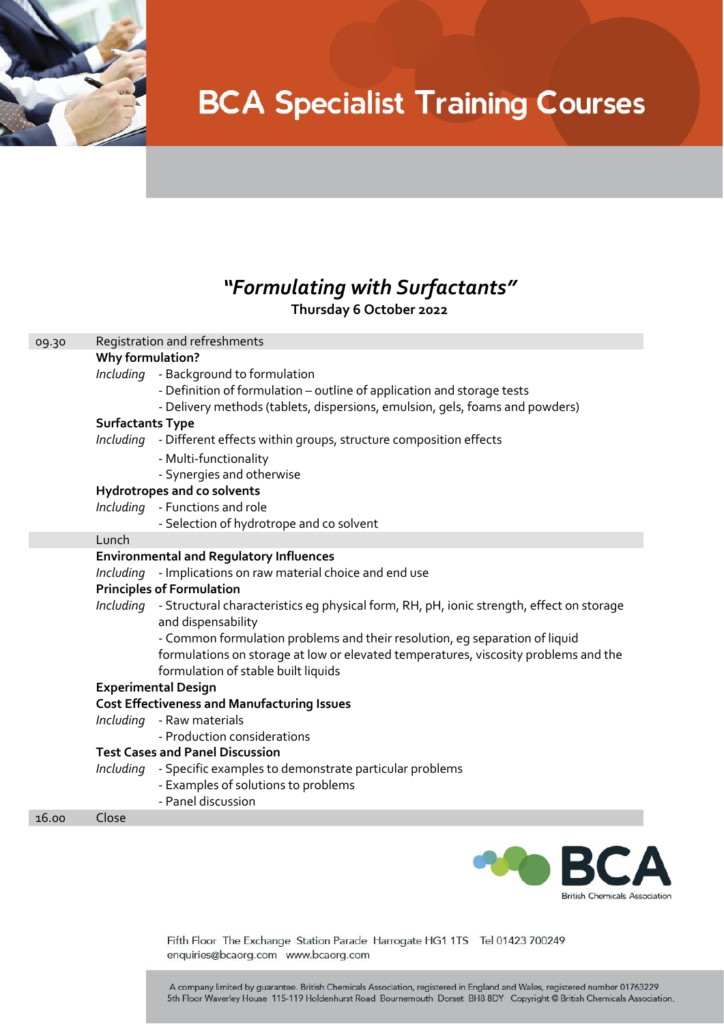

# **BCA Specialist Training Courses**

### *"Formulating with Surfactants"* **Thursday 6 October 2022**

### 09.30 Registration and refreshments **Why formulation?** *Including* - Background to formulation - Definition of formulation – outline of application and storage tests - Delivery methods (tablets, dispersions, emulsion, gels, foams and powders) **Surfactants Type**  *Including -* Different effects within groups, structure composition effects - Multi-functionality - Synergies and otherwise **Hydrotropes and co solvents**  *Including* - Functions and role - Selection of hydrotrope and co solvent Lunch **Environmental and Regulatory Influences** *Including* - Implications on raw material choice and end use **Principles of Formulation**  *Including -* Structural characteristics eg physical form, RH, pH, ionic strength, effect on storage and dispensability - Common formulation problems and their resolution, eg separation of liquid formulations on storage at low or elevated temperatures, viscosity problems and the formulation of stable built liquids **Experimental Design Cost Effectiveness and Manufacturing Issues** *Including* - Raw materials - Production considerations **Test Cases and Panel Discussion**  *Including -* Specific examples to demonstrate particular problems

- Examples of solutions to problems
- Panel discussion

16.00 Close



Fifth Floor The Exchange Station Parade Harrogate HG1 1TS Tel 01423 700249 enquiries@bcaorg.com www.bcaorg.com

A company limited by guarantee. British Chemicals Association, registered in England and Wales, registered number 01763229 5th Floor Waverley House 115-119 Holdenhurst Road Bournemouth Dorset BH8 8DY Copyright @ British Chemicals Association.